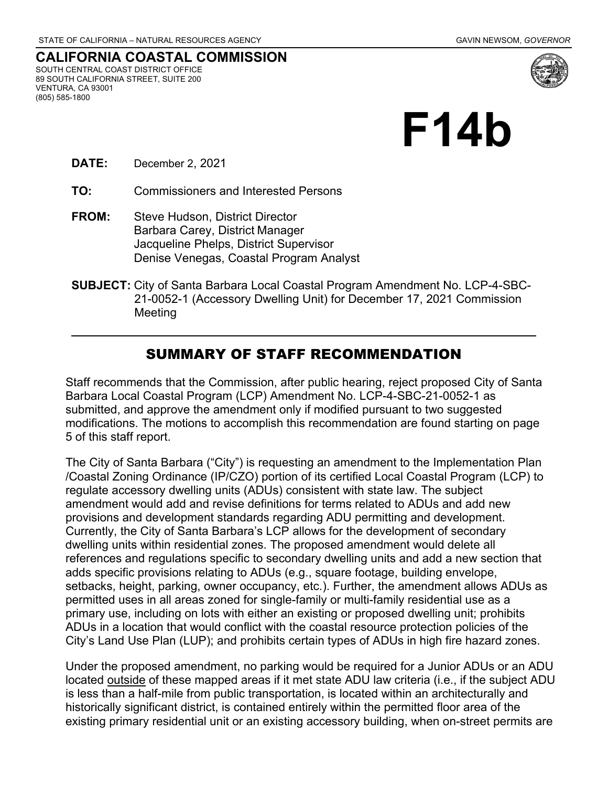

**CALIFORNIA COASTAL COMMISSION** SOUTH CENTRAL COAST DISTRICT OFFICE 89 SOUTH CALIFORNIA STREET, SUITE 200 VENTURA, CA 93001 (805) 585-1800



- **DATE:** December 2, 2021
- **TO:** Commissioners and Interested Persons
- **FROM:** Steve Hudson, District Director Barbara Carey, District Manager Jacqueline Phelps, District Supervisor Denise Venegas, Coastal Program Analyst
- **SUBJECT:** City of Santa Barbara Local Coastal Program Amendment No. LCP-4-SBC-21-0052-1 (Accessory Dwelling Unit) for December 17, 2021 Commission Meeting

## SUMMARY OF STAFF RECOMMENDATION

Staff recommends that the Commission, after public hearing, reject proposed City of Santa Barbara Local Coastal Program (LCP) Amendment No. LCP-4-SBC-21-0052-1 as submitted, and approve the amendment only if modified pursuant to two suggested modifications. The motions to accomplish this recommendation are found starting on page 5 of this staff report.

The City of Santa Barbara ("City") is requesting an amendment to the Implementation Plan /Coastal Zoning Ordinance (IP/CZO) portion of its certified Local Coastal Program (LCP) to regulate accessory dwelling units (ADUs) consistent with state law. The subject amendment would add and revise definitions for terms related to ADUs and add new provisions and development standards regarding ADU permitting and development. Currently, the City of Santa Barbara's LCP allows for the development of secondary dwelling units within residential zones. The proposed amendment would delete all references and regulations specific to secondary dwelling units and add a new section that adds specific provisions relating to ADUs (e.g., square footage, building envelope, setbacks, height, parking, owner occupancy, etc.). Further, the amendment allows ADUs as permitted uses in all areas zoned for single-family or multi-family residential use as a primary use, including on lots with either an existing or proposed dwelling unit; prohibits ADUs in a location that would conflict with the coastal resource protection policies of the City's Land Use Plan (LUP); and prohibits certain types of ADUs in high fire hazard zones.

Under the proposed amendment, no parking would be required for a Junior ADUs or an ADU located outside of these mapped areas if it met state ADU law criteria (i.e., if the subject ADU is less than a half-mile from public transportation, is located within an architecturally and historically significant district, is contained entirely within the permitted floor area of the existing primary residential unit or an existing accessory building, when on-street permits are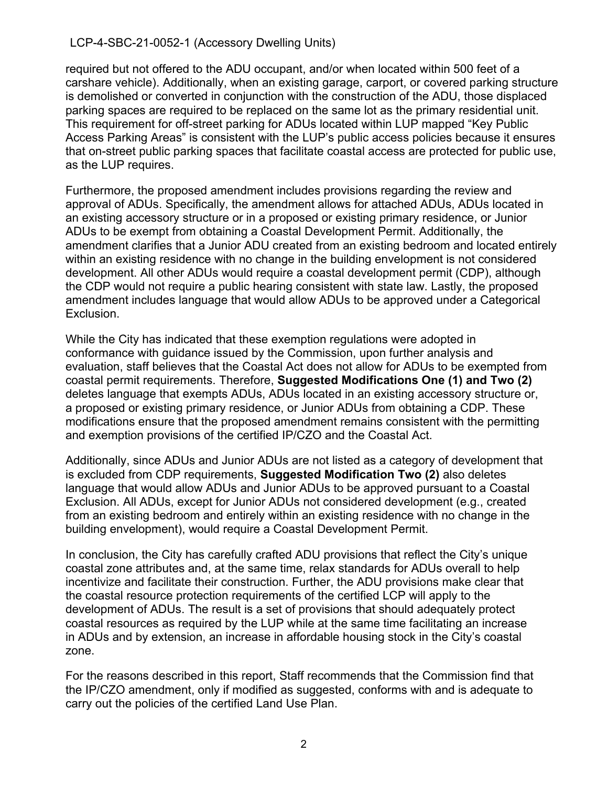required but not offered to the ADU occupant, and/or when located within 500 feet of a carshare vehicle). Additionally, when an existing garage, carport, or covered parking structure is demolished or converted in conjunction with the construction of the ADU, those displaced parking spaces are required to be replaced on the same lot as the primary residential unit. This requirement for off-street parking for ADUs located within LUP mapped "Key Public Access Parking Areas" is consistent with the LUP's public access policies because it ensures that on-street public parking spaces that facilitate coastal access are protected for public use, as the LUP requires.

Furthermore, the proposed amendment includes provisions regarding the review and approval of ADUs. Specifically, the amendment allows for attached ADUs, ADUs located in an existing accessory structure or in a proposed or existing primary residence, or Junior ADUs to be exempt from obtaining a Coastal Development Permit. Additionally, the amendment clarifies that a Junior ADU created from an existing bedroom and located entirely within an existing residence with no change in the building envelopment is not considered development. All other ADUs would require a coastal development permit (CDP), although the CDP would not require a public hearing consistent with state law. Lastly, the proposed amendment includes language that would allow ADUs to be approved under a Categorical Exclusion.

While the City has indicated that these exemption regulations were adopted in conformance with guidance issued by the Commission, upon further analysis and evaluation, staff believes that the Coastal Act does not allow for ADUs to be exempted from coastal permit requirements. Therefore, **Suggested Modifications One (1) and Two (2)** deletes language that exempts ADUs, ADUs located in an existing accessory structure or, a proposed or existing primary residence, or Junior ADUs from obtaining a CDP. These modifications ensure that the proposed amendment remains consistent with the permitting and exemption provisions of the certified IP/CZO and the Coastal Act.

Additionally, since ADUs and Junior ADUs are not listed as a category of development that is excluded from CDP requirements, **Suggested Modification Two (2)** also deletes language that would allow ADUs and Junior ADUs to be approved pursuant to a Coastal Exclusion. All ADUs, except for Junior ADUs not considered development (e.g., created from an existing bedroom and entirely within an existing residence with no change in the building envelopment), would require a Coastal Development Permit.

In conclusion, the City has carefully crafted ADU provisions that reflect the City's unique coastal zone attributes and, at the same time, relax standards for ADUs overall to help incentivize and facilitate their construction. Further, the ADU provisions make clear that the coastal resource protection requirements of the certified LCP will apply to the development of ADUs. The result is a set of provisions that should adequately protect coastal resources as required by the LUP while at the same time facilitating an increase in ADUs and by extension, an increase in affordable housing stock in the City's coastal zone.

For the reasons described in this report, Staff recommends that the Commission find that the IP/CZO amendment, only if modified as suggested, conforms with and is adequate to carry out the policies of the certified Land Use Plan.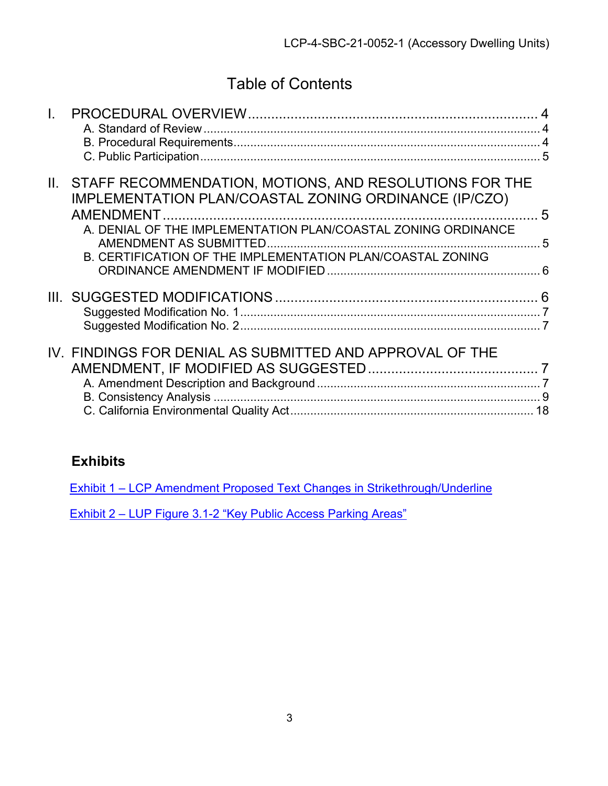# Table of Contents

| II. | STAFF RECOMMENDATION, MOTIONS, AND RESOLUTIONS FOR THE<br>IMPLEMENTATION PLAN/COASTAL ZONING ORDINANCE (IP/CZO) | .5 |
|-----|-----------------------------------------------------------------------------------------------------------------|----|
|     | A. DENIAL OF THE IMPLEMENTATION PLAN/COASTAL ZONING ORDINANCE                                                   |    |
|     | B. CERTIFICATION OF THE IMPLEMENTATION PLAN/COASTAL ZONING                                                      |    |
|     |                                                                                                                 |    |
|     | IV. FINDINGS FOR DENIAL AS SUBMITTED AND APPROVAL OF THE                                                        |    |

# **Exhibits**

Exhibit 1 – [LCP Amendment Proposed Text Changes in Strikethrough/Underline](https://documents.coastal.ca.gov/reports/2021/12/F14b/F14b-12-2021-exhibits.pdf)

Exhibit 2 – [LUP Figure 3.1-2 "Key Public Access Parking Areas"](https://documents.coastal.ca.gov/reports/2021/12/F14b/F14b-12-2021-exhibits.pdf)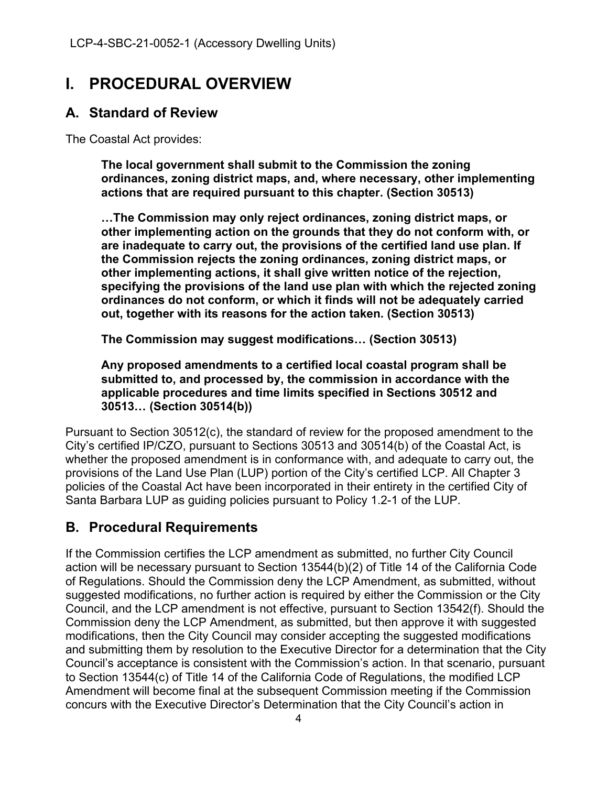# <span id="page-3-0"></span>**I. PROCEDURAL OVERVIEW**

# <span id="page-3-1"></span>**A. Standard of Review**

The Coastal Act provides:

**The local government shall submit to the Commission the zoning ordinances, zoning district maps, and, where necessary, other implementing actions that are required pursuant to this chapter. (Section 30513)**

**…The Commission may only reject ordinances, zoning district maps, or other implementing action on the grounds that they do not conform with, or are inadequate to carry out, the provisions of the certified land use plan. If the Commission rejects the zoning ordinances, zoning district maps, or other implementing actions, it shall give written notice of the rejection, specifying the provisions of the land use plan with which the rejected zoning ordinances do not conform, or which it finds will not be adequately carried out, together with its reasons for the action taken. (Section 30513)**

**The Commission may suggest modifications… (Section 30513)**

**Any proposed amendments to a certified local coastal program shall be submitted to, and processed by, the commission in accordance with the applicable procedures and time limits specified in Sections 30512 and 30513… (Section 30514(b))**

Pursuant to Section 30512(c), the standard of review for the proposed amendment to the City's certified IP/CZO, pursuant to Sections 30513 and 30514(b) of the Coastal Act, is whether the proposed amendment is in conformance with, and adequate to carry out, the provisions of the Land Use Plan (LUP) portion of the City's certified LCP. All Chapter 3 policies of the Coastal Act have been incorporated in their entirety in the certified City of Santa Barbara LUP as guiding policies pursuant to Policy 1.2-1 of the LUP.

# <span id="page-3-2"></span>**B. Procedural Requirements**

If the Commission certifies the LCP amendment as submitted, no further City Council action will be necessary pursuant to Section 13544(b)(2) of Title 14 of the California Code of Regulations. Should the Commission deny the LCP Amendment, as submitted, without suggested modifications, no further action is required by either the Commission or the City Council, and the LCP amendment is not effective, pursuant to Section 13542(f). Should the Commission deny the LCP Amendment, as submitted, but then approve it with suggested modifications, then the City Council may consider accepting the suggested modifications and submitting them by resolution to the Executive Director for a determination that the City Council's acceptance is consistent with the Commission's action. In that scenario, pursuant to Section 13544(c) of Title 14 of the California Code of Regulations, the modified LCP Amendment will become final at the subsequent Commission meeting if the Commission concurs with the Executive Director's Determination that the City Council's action in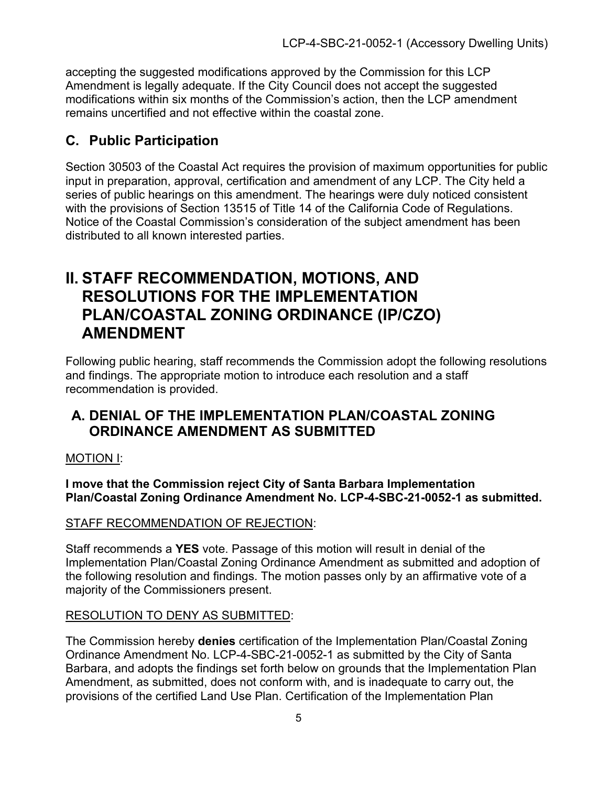accepting the suggested modifications approved by the Commission for this LCP Amendment is legally adequate. If the City Council does not accept the suggested modifications within six months of the Commission's action, then the LCP amendment remains uncertified and not effective within the coastal zone.

# <span id="page-4-0"></span>**C. Public Participation**

Section 30503 of the Coastal Act requires the provision of maximum opportunities for public input in preparation, approval, certification and amendment of any LCP. The City held a series of public hearings on this amendment. The hearings were duly noticed consistent with the provisions of Section 13515 of Title 14 of the California Code of Regulations. Notice of the Coastal Commission's consideration of the subject amendment has been distributed to all known interested parties.

# <span id="page-4-1"></span>**II. STAFF RECOMMENDATION, MOTIONS, AND RESOLUTIONS FOR THE IMPLEMENTATION PLAN/COASTAL ZONING ORDINANCE (IP/CZO) AMENDMENT**

Following public hearing, staff recommends the Commission adopt the following resolutions and findings. The appropriate motion to introduce each resolution and a staff recommendation is provided.

# <span id="page-4-2"></span>**A. DENIAL OF THE IMPLEMENTATION PLAN/COASTAL ZONING ORDINANCE AMENDMENT AS SUBMITTED**

## MOTION I:

**I move that the Commission reject City of Santa Barbara Implementation Plan/Coastal Zoning Ordinance Amendment No. LCP-4-SBC-21-0052-1 as submitted.**

## STAFF RECOMMENDATION OF REJECTION:

Staff recommends a **YES** vote. Passage of this motion will result in denial of the Implementation Plan/Coastal Zoning Ordinance Amendment as submitted and adoption of the following resolution and findings. The motion passes only by an affirmative vote of a majority of the Commissioners present.

## RESOLUTION TO DENY AS SUBMITTED:

The Commission hereby **denies** certification of the Implementation Plan/Coastal Zoning Ordinance Amendment No. LCP-4-SBC-21-0052-1 as submitted by the City of Santa Barbara, and adopts the findings set forth below on grounds that the Implementation Plan Amendment, as submitted, does not conform with, and is inadequate to carry out, the provisions of the certified Land Use Plan. Certification of the Implementation Plan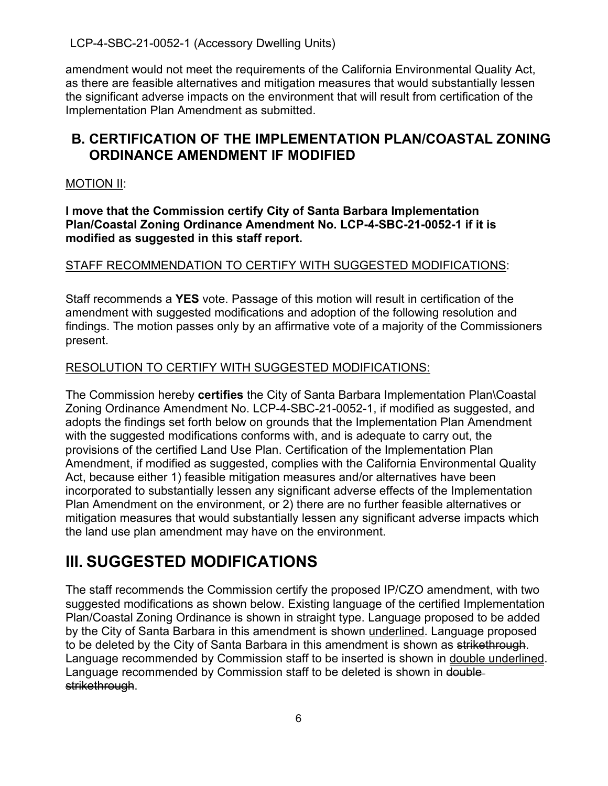amendment would not meet the requirements of the California Environmental Quality Act, as there are feasible alternatives and mitigation measures that would substantially lessen the significant adverse impacts on the environment that will result from certification of the Implementation Plan Amendment as submitted.

# <span id="page-5-0"></span>**B. CERTIFICATION OF THE IMPLEMENTATION PLAN/COASTAL ZONING ORDINANCE AMENDMENT IF MODIFIED**

#### MOTION II:

**I move that the Commission certify City of Santa Barbara Implementation Plan/Coastal Zoning Ordinance Amendment No. LCP-4-SBC-21-0052-1 if it is modified as suggested in this staff report.**

### STAFF RECOMMENDATION TO CERTIFY WITH SUGGESTED MODIFICATIONS:

Staff recommends a **YES** vote. Passage of this motion will result in certification of the amendment with suggested modifications and adoption of the following resolution and findings. The motion passes only by an affirmative vote of a majority of the Commissioners present.

### RESOLUTION TO CERTIFY WITH SUGGESTED MODIFICATIONS:

The Commission hereby **certifies** the City of Santa Barbara Implementation Plan\Coastal Zoning Ordinance Amendment No. LCP-4-SBC-21-0052-1, if modified as suggested, and adopts the findings set forth below on grounds that the Implementation Plan Amendment with the suggested modifications conforms with, and is adequate to carry out, the provisions of the certified Land Use Plan. Certification of the Implementation Plan Amendment, if modified as suggested, complies with the California Environmental Quality Act, because either 1) feasible mitigation measures and/or alternatives have been incorporated to substantially lessen any significant adverse effects of the Implementation Plan Amendment on the environment, or 2) there are no further feasible alternatives or mitigation measures that would substantially lessen any significant adverse impacts which the land use plan amendment may have on the environment.

# <span id="page-5-1"></span>**III. SUGGESTED MODIFICATIONS**

The staff recommends the Commission certify the proposed IP/CZO amendment, with two suggested modifications as shown below. Existing language of the certified Implementation Plan/Coastal Zoning Ordinance is shown in straight type. Language proposed to be added by the City of Santa Barbara in this amendment is shown underlined. Language proposed to be deleted by the City of Santa Barbara in this amendment is shown as strikethrough. Language recommended by Commission staff to be inserted is shown in double underlined. Language recommended by Commission staff to be deleted is shown in doublestrikethrough.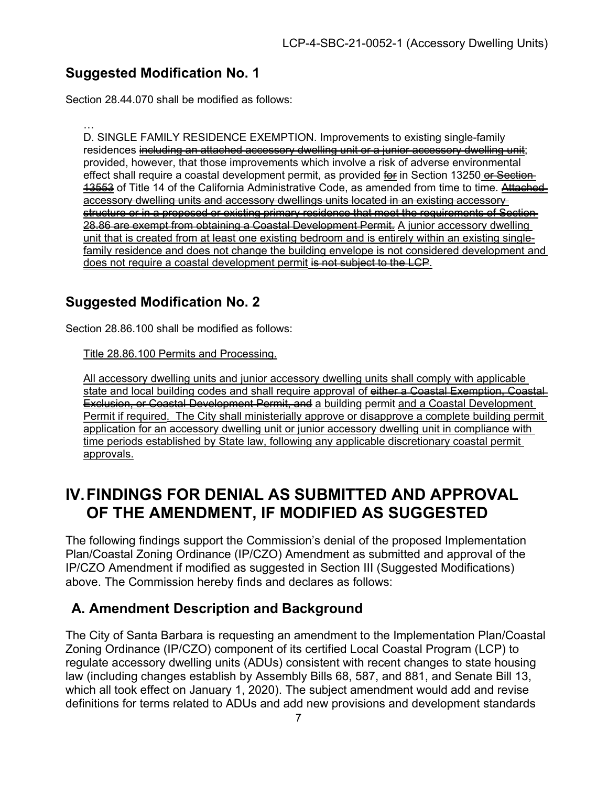# <span id="page-6-0"></span>**Suggested Modification No. 1**

Section 28.44.070 shall be modified as follows:

… D. SINGLE FAMILY RESIDENCE EXEMPTION. Improvements to existing single-family residences including an attached accessory dwelling unit or a junior accessory dwelling unit; provided, however, that those improvements which involve a risk of adverse environmental effect shall require a coastal development permit, as provided for in Section 13250 or Section 13553 of Title 14 of the California Administrative Code, as amended from time to time. Attached accessory dwelling units and accessory dwellings units located in an existing accessory structure or in a proposed or existing primary residence that meet the requirements of Section 28.86 are exempt from obtaining a Coastal Development Permit. A junior accessory dwelling unit that is created from at least one existing bedroom and is entirely within an existing singlefamily residence and does not change the building envelope is not considered development and does not require a coastal development permit is not subject to the LCP.

# <span id="page-6-1"></span>**Suggested Modification No. 2**

Section 28.86.100 shall be modified as follows:

Title 28.86.100 Permits and Processing.

All accessory dwelling units and junior accessory dwelling units shall comply with applicable state and local building codes and shall require approval of either a Coastal Exemption, Coastal Exclusion, or Coastal Development Permit, and a building permit and a Coastal Development Permit if required. The City shall ministerially approve or disapprove a complete building permit application for an accessory dwelling unit or junior accessory dwelling unit in compliance with time periods established by State law, following any applicable discretionary coastal permit approvals.

# <span id="page-6-2"></span>**IV.FINDINGS FOR DENIAL AS SUBMITTED AND APPROVAL OF THE AMENDMENT, IF MODIFIED AS SUGGESTED**

The following findings support the Commission's denial of the proposed Implementation Plan/Coastal Zoning Ordinance (IP/CZO) Amendment as submitted and approval of the IP/CZO Amendment if modified as suggested in Section III (Suggested Modifications) above. The Commission hereby finds and declares as follows:

# <span id="page-6-3"></span>**A. Amendment Description and Background**

The City of Santa Barbara is requesting an amendment to the Implementation Plan/Coastal Zoning Ordinance (IP/CZO) component of its certified Local Coastal Program (LCP) to regulate accessory dwelling units (ADUs) consistent with recent changes to state housing law (including changes establish by Assembly Bills 68, 587, and 881, and Senate Bill 13, which all took effect on January 1, 2020). The subject amendment would add and revise definitions for terms related to ADUs and add new provisions and development standards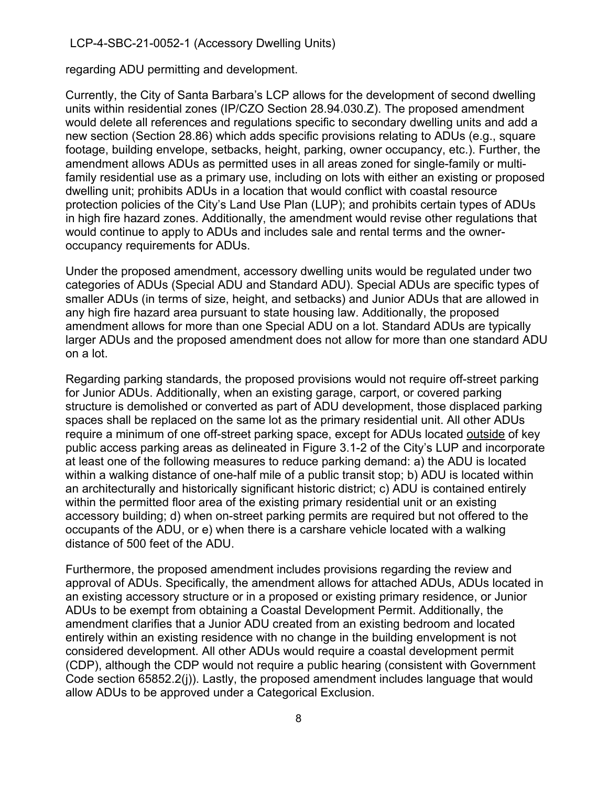regarding ADU permitting and development.

Currently, the City of Santa Barbara's LCP allows for the development of second dwelling units within residential zones (IP/CZO Section 28.94.030.Z). The proposed amendment would delete all references and regulations specific to secondary dwelling units and add a new section (Section 28.86) which adds specific provisions relating to ADUs (e.g., square footage, building envelope, setbacks, height, parking, owner occupancy, etc.). Further, the amendment allows ADUs as permitted uses in all areas zoned for single-family or multifamily residential use as a primary use, including on lots with either an existing or proposed dwelling unit; prohibits ADUs in a location that would conflict with coastal resource protection policies of the City's Land Use Plan (LUP); and prohibits certain types of ADUs in high fire hazard zones. Additionally, the amendment would revise other regulations that would continue to apply to ADUs and includes sale and rental terms and the owneroccupancy requirements for ADUs.

Under the proposed amendment, accessory dwelling units would be regulated under two categories of ADUs (Special ADU and Standard ADU). Special ADUs are specific types of smaller ADUs (in terms of size, height, and setbacks) and Junior ADUs that are allowed in any high fire hazard area pursuant to state housing law. Additionally, the proposed amendment allows for more than one Special ADU on a lot. Standard ADUs are typically larger ADUs and the proposed amendment does not allow for more than one standard ADU on a lot.

Regarding parking standards, the proposed provisions would not require off-street parking for Junior ADUs. Additionally, when an existing garage, carport, or covered parking structure is demolished or converted as part of ADU development, those displaced parking spaces shall be replaced on the same lot as the primary residential unit. All other ADUs require a minimum of one off-street parking space, except for ADUs located outside of key public access parking areas as delineated in Figure 3.1-2 of the City's LUP and incorporate at least one of the following measures to reduce parking demand: a) the ADU is located within a walking distance of one-half mile of a public transit stop; b) ADU is located within an architecturally and historically significant historic district; c) ADU is contained entirely within the permitted floor area of the existing primary residential unit or an existing accessory building; d) when on-street parking permits are required but not offered to the occupants of the ADU, or e) when there is a carshare vehicle located with a walking distance of 500 feet of the ADU.

Furthermore, the proposed amendment includes provisions regarding the review and approval of ADUs. Specifically, the amendment allows for attached ADUs, ADUs located in an existing accessory structure or in a proposed or existing primary residence, or Junior ADUs to be exempt from obtaining a Coastal Development Permit. Additionally, the amendment clarifies that a Junior ADU created from an existing bedroom and located entirely within an existing residence with no change in the building envelopment is not considered development. All other ADUs would require a coastal development permit (CDP), although the CDP would not require a public hearing (consistent with Government Code section 65852.2(j)). Lastly, the proposed amendment includes language that would allow ADUs to be approved under a Categorical Exclusion.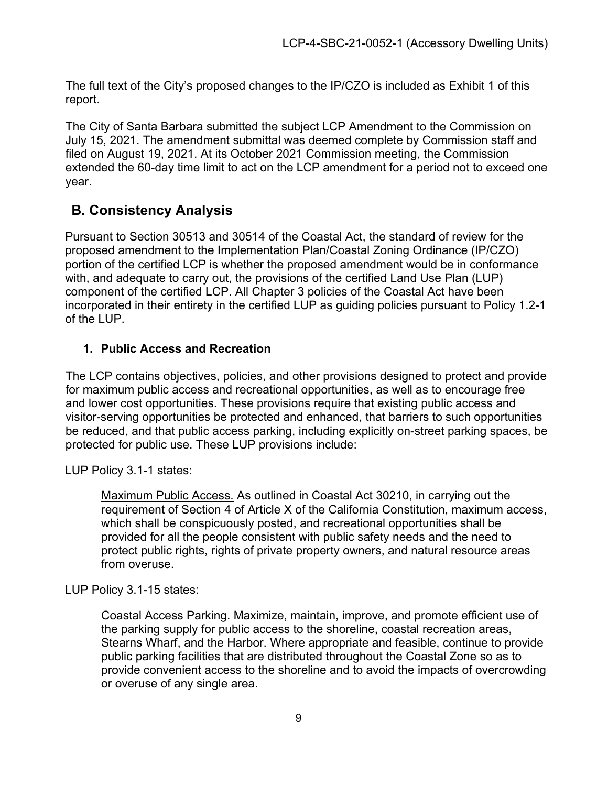The full text of the City's proposed changes to the IP/CZO is included as Exhibit 1 of this report.

The City of Santa Barbara submitted the subject LCP Amendment to the Commission on July 15, 2021. The amendment submittal was deemed complete by Commission staff and filed on August 19, 2021. At its October 2021 Commission meeting, the Commission extended the 60-day time limit to act on the LCP amendment for a period not to exceed one year.

# <span id="page-8-0"></span>**B. Consistency Analysis**

Pursuant to Section 30513 and 30514 of the Coastal Act, the standard of review for the proposed amendment to the Implementation Plan/Coastal Zoning Ordinance (IP/CZO) portion of the certified LCP is whether the proposed amendment would be in conformance with, and adequate to carry out, the provisions of the certified Land Use Plan (LUP) component of the certified LCP. All Chapter 3 policies of the Coastal Act have been incorporated in their entirety in the certified LUP as guiding policies pursuant to Policy 1.2-1 of the LUP.

## **1. Public Access and Recreation**

The LCP contains objectives, policies, and other provisions designed to protect and provide for maximum public access and recreational opportunities, as well as to encourage free and lower cost opportunities. These provisions require that existing public access and visitor-serving opportunities be protected and enhanced, that barriers to such opportunities be reduced, and that public access parking, including explicitly on-street parking spaces, be protected for public use. These LUP provisions include:

LUP Policy 3.1-1 states:

Maximum Public Access. As outlined in Coastal Act 30210, in carrying out the requirement of Section 4 of Article X of the California Constitution, maximum access, which shall be conspicuously posted, and recreational opportunities shall be provided for all the people consistent with public safety needs and the need to protect public rights, rights of private property owners, and natural resource areas from overuse.

LUP Policy 3.1-15 states:

Coastal Access Parking. Maximize, maintain, improve, and promote efficient use of the parking supply for public access to the shoreline, coastal recreation areas, Stearns Wharf, and the Harbor. Where appropriate and feasible, continue to provide public parking facilities that are distributed throughout the Coastal Zone so as to provide convenient access to the shoreline and to avoid the impacts of overcrowding or overuse of any single area.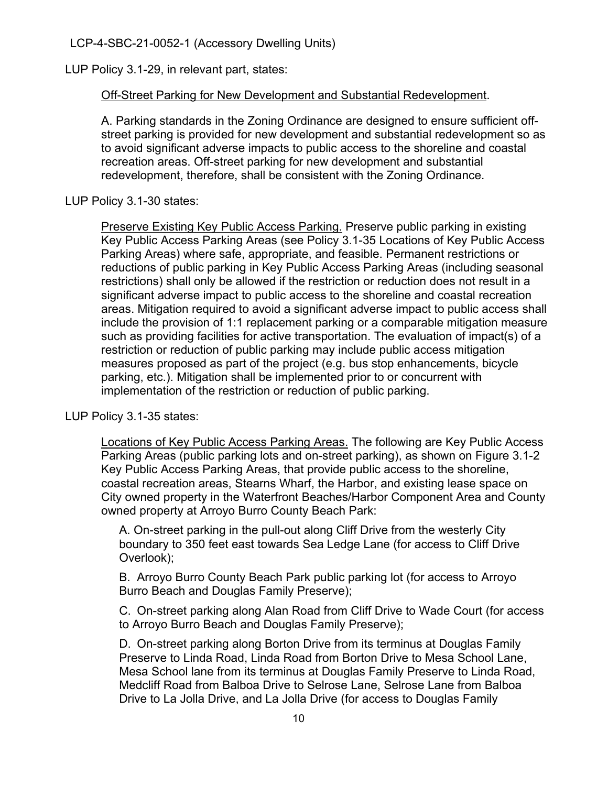LUP Policy 3.1-29, in relevant part, states:

#### Off-Street Parking for New Development and Substantial Redevelopment.

A. Parking standards in the Zoning Ordinance are designed to ensure sufficient offstreet parking is provided for new development and substantial redevelopment so as to avoid significant adverse impacts to public access to the shoreline and coastal recreation areas. Off-street parking for new development and substantial redevelopment, therefore, shall be consistent with the Zoning Ordinance.

LUP Policy 3.1-30 states:

Preserve Existing Key Public Access Parking. Preserve public parking in existing Key Public Access Parking Areas (see Policy 3.1-35 Locations of Key Public Access Parking Areas) where safe, appropriate, and feasible. Permanent restrictions or reductions of public parking in Key Public Access Parking Areas (including seasonal restrictions) shall only be allowed if the restriction or reduction does not result in a significant adverse impact to public access to the shoreline and coastal recreation areas. Mitigation required to avoid a significant adverse impact to public access shall include the provision of 1:1 replacement parking or a comparable mitigation measure such as providing facilities for active transportation. The evaluation of impact(s) of a restriction or reduction of public parking may include public access mitigation measures proposed as part of the project (e.g. bus stop enhancements, bicycle parking, etc.). Mitigation shall be implemented prior to or concurrent with implementation of the restriction or reduction of public parking.

LUP Policy 3.1-35 states:

Locations of Key Public Access Parking Areas. The following are Key Public Access Parking Areas (public parking lots and on-street parking), as shown on Figure 3.1-2 Key Public Access Parking Areas, that provide public access to the shoreline, coastal recreation areas, Stearns Wharf, the Harbor, and existing lease space on City owned property in the Waterfront Beaches/Harbor Component Area and County owned property at Arroyo Burro County Beach Park:

A. On-street parking in the pull-out along Cliff Drive from the westerly City boundary to 350 feet east towards Sea Ledge Lane (for access to Cliff Drive Overlook);

B. Arroyo Burro County Beach Park public parking lot (for access to Arroyo Burro Beach and Douglas Family Preserve);

C. On-street parking along Alan Road from Cliff Drive to Wade Court (for access to Arroyo Burro Beach and Douglas Family Preserve);

D. On-street parking along Borton Drive from its terminus at Douglas Family Preserve to Linda Road, Linda Road from Borton Drive to Mesa School Lane, Mesa School lane from its terminus at Douglas Family Preserve to Linda Road, Medcliff Road from Balboa Drive to Selrose Lane, Selrose Lane from Balboa Drive to La Jolla Drive, and La Jolla Drive (for access to Douglas Family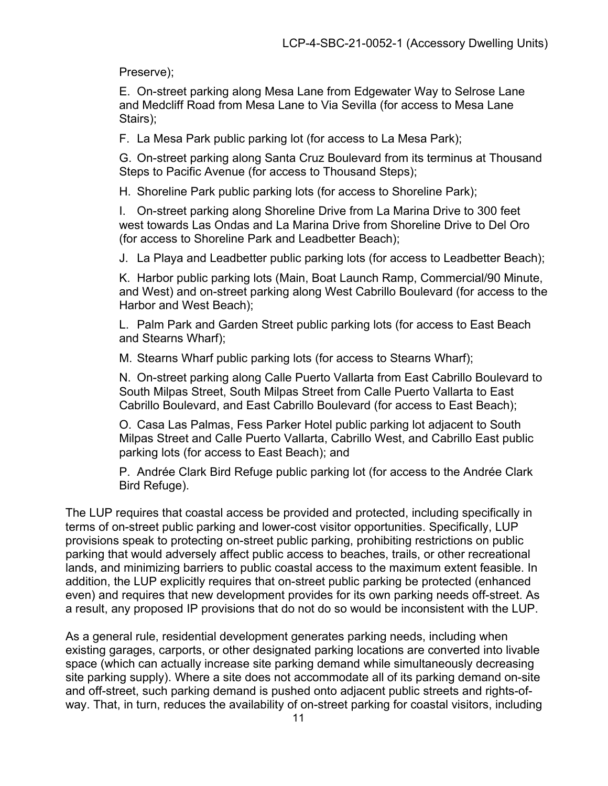Preserve);

E. On-street parking along Mesa Lane from Edgewater Way to Selrose Lane and Medcliff Road from Mesa Lane to Via Sevilla (for access to Mesa Lane Stairs);

F. La Mesa Park public parking lot (for access to La Mesa Park);

G. On-street parking along Santa Cruz Boulevard from its terminus at Thousand Steps to Pacific Avenue (for access to Thousand Steps);

H. Shoreline Park public parking lots (for access to Shoreline Park);

I. On-street parking along Shoreline Drive from La Marina Drive to 300 feet west towards Las Ondas and La Marina Drive from Shoreline Drive to Del Oro (for access to Shoreline Park and Leadbetter Beach);

J. La Playa and Leadbetter public parking lots (for access to Leadbetter Beach);

K. Harbor public parking lots (Main, Boat Launch Ramp, Commercial/90 Minute, and West) and on-street parking along West Cabrillo Boulevard (for access to the Harbor and West Beach);

L. Palm Park and Garden Street public parking lots (for access to East Beach and Stearns Wharf);

M. Stearns Wharf public parking lots (for access to Stearns Wharf);

N. On-street parking along Calle Puerto Vallarta from East Cabrillo Boulevard to South Milpas Street, South Milpas Street from Calle Puerto Vallarta to East Cabrillo Boulevard, and East Cabrillo Boulevard (for access to East Beach);

O. Casa Las Palmas, Fess Parker Hotel public parking lot adjacent to South Milpas Street and Calle Puerto Vallarta, Cabrillo West, and Cabrillo East public parking lots (for access to East Beach); and

P. Andrée Clark Bird Refuge public parking lot (for access to the Andrée Clark Bird Refuge).

The LUP requires that coastal access be provided and protected, including specifically in terms of on-street public parking and lower-cost visitor opportunities. Specifically, LUP provisions speak to protecting on-street public parking, prohibiting restrictions on public parking that would adversely affect public access to beaches, trails, or other recreational lands, and minimizing barriers to public coastal access to the maximum extent feasible. In addition, the LUP explicitly requires that on-street public parking be protected (enhanced even) and requires that new development provides for its own parking needs off-street. As a result, any proposed IP provisions that do not do so would be inconsistent with the LUP.

As a general rule, residential development generates parking needs, including when existing garages, carports, or other designated parking locations are converted into livable space (which can actually increase site parking demand while simultaneously decreasing site parking supply). Where a site does not accommodate all of its parking demand on-site and off-street, such parking demand is pushed onto adjacent public streets and rights-ofway. That, in turn, reduces the availability of on-street parking for coastal visitors, including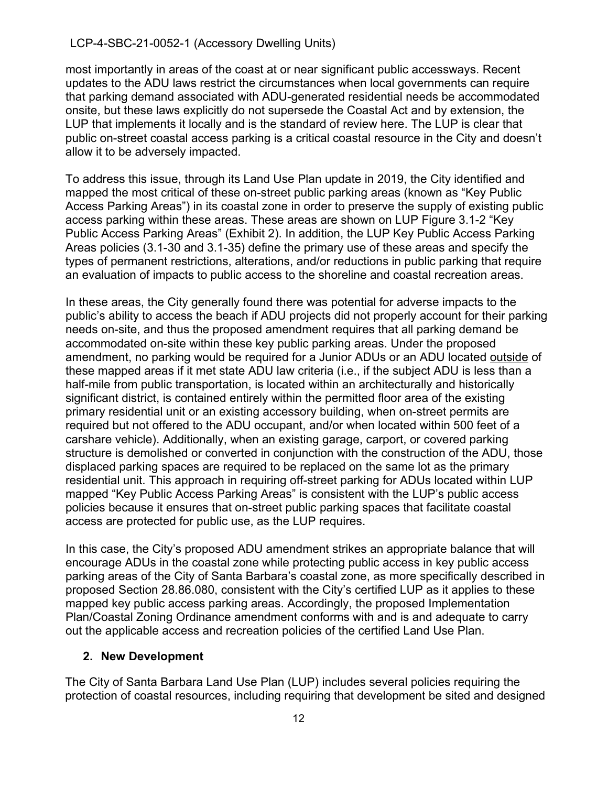most importantly in areas of the coast at or near significant public accessways. Recent updates to the ADU laws restrict the circumstances when local governments can require that parking demand associated with ADU-generated residential needs be accommodated onsite, but these laws explicitly do not supersede the Coastal Act and by extension, the LUP that implements it locally and is the standard of review here. The LUP is clear that public on-street coastal access parking is a critical coastal resource in the City and doesn't allow it to be adversely impacted.

To address this issue, through its Land Use Plan update in 2019, the City identified and mapped the most critical of these on-street public parking areas (known as "Key Public Access Parking Areas") in its coastal zone in order to preserve the supply of existing public access parking within these areas. These areas are shown on LUP Figure 3.1-2 "Key Public Access Parking Areas" (Exhibit 2). In addition, the LUP Key Public Access Parking Areas policies (3.1-30 and 3.1-35) define the primary use of these areas and specify the types of permanent restrictions, alterations, and/or reductions in public parking that require an evaluation of impacts to public access to the shoreline and coastal recreation areas.

In these areas, the City generally found there was potential for adverse impacts to the public's ability to access the beach if ADU projects did not properly account for their parking needs on-site, and thus the proposed amendment requires that all parking demand be accommodated on-site within these key public parking areas. Under the proposed amendment, no parking would be required for a Junior ADUs or an ADU located outside of these mapped areas if it met state ADU law criteria (i.e., if the subject ADU is less than a half-mile from public transportation, is located within an architecturally and historically significant district, is contained entirely within the permitted floor area of the existing primary residential unit or an existing accessory building, when on-street permits are required but not offered to the ADU occupant, and/or when located within 500 feet of a carshare vehicle). Additionally, when an existing garage, carport, or covered parking structure is demolished or converted in conjunction with the construction of the ADU, those displaced parking spaces are required to be replaced on the same lot as the primary residential unit. This approach in requiring off-street parking for ADUs located within LUP mapped "Key Public Access Parking Areas" is consistent with the LUP's public access policies because it ensures that on-street public parking spaces that facilitate coastal access are protected for public use, as the LUP requires.

In this case, the City's proposed ADU amendment strikes an appropriate balance that will encourage ADUs in the coastal zone while protecting public access in key public access parking areas of the City of Santa Barbara's coastal zone, as more specifically described in proposed Section 28.86.080, consistent with the City's certified LUP as it applies to these mapped key public access parking areas. Accordingly, the proposed Implementation Plan/Coastal Zoning Ordinance amendment conforms with and is and adequate to carry out the applicable access and recreation policies of the certified Land Use Plan.

#### **2. New Development**

The City of Santa Barbara Land Use Plan (LUP) includes several policies requiring the protection of coastal resources, including requiring that development be sited and designed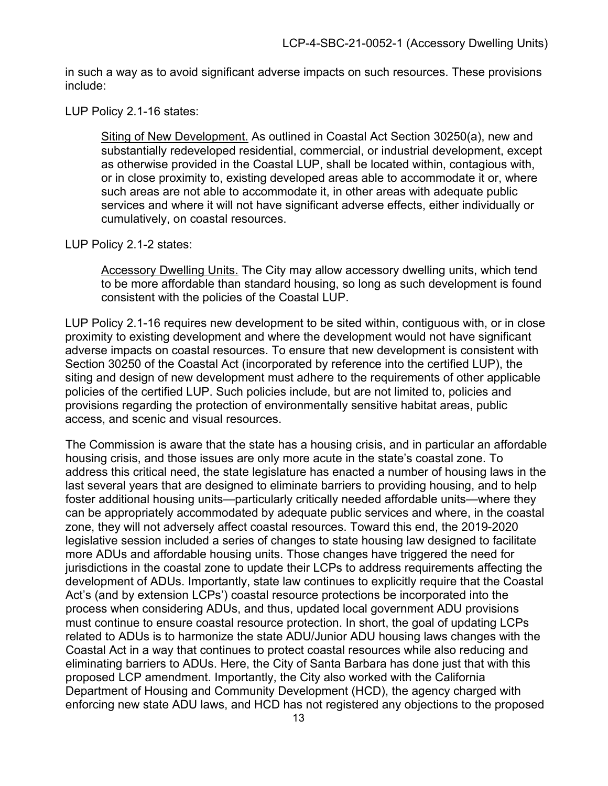in such a way as to avoid significant adverse impacts on such resources. These provisions include:

#### LUP Policy 2.1-16 states:

Siting of New Development. As outlined in Coastal Act Section 30250(a), new and substantially redeveloped residential, commercial, or industrial development, except as otherwise provided in the Coastal LUP, shall be located within, contagious with, or in close proximity to, existing developed areas able to accommodate it or, where such areas are not able to accommodate it, in other areas with adequate public services and where it will not have significant adverse effects, either individually or cumulatively, on coastal resources.

#### LUP Policy 2.1-2 states:

Accessory Dwelling Units. The City may allow accessory dwelling units, which tend to be more affordable than standard housing, so long as such development is found consistent with the policies of the Coastal LUP.

LUP Policy 2.1-16 requires new development to be sited within, contiguous with, or in close proximity to existing development and where the development would not have significant adverse impacts on coastal resources. To ensure that new development is consistent with Section 30250 of the Coastal Act (incorporated by reference into the certified LUP), the siting and design of new development must adhere to the requirements of other applicable policies of the certified LUP. Such policies include, but are not limited to, policies and provisions regarding the protection of environmentally sensitive habitat areas, public access, and scenic and visual resources.

The Commission is aware that the state has a housing crisis, and in particular an affordable housing crisis, and those issues are only more acute in the state's coastal zone. To address this critical need, the state legislature has enacted a number of housing laws in the last several years that are designed to eliminate barriers to providing housing, and to help foster additional housing units—particularly critically needed affordable units—where they can be appropriately accommodated by adequate public services and where, in the coastal zone, they will not adversely affect coastal resources. Toward this end, the 2019-2020 legislative session included a series of changes to state housing law designed to facilitate more ADUs and affordable housing units. Those changes have triggered the need for jurisdictions in the coastal zone to update their LCPs to address requirements affecting the development of ADUs. Importantly, state law continues to explicitly require that the Coastal Act's (and by extension LCPs') coastal resource protections be incorporated into the process when considering ADUs, and thus, updated local government ADU provisions must continue to ensure coastal resource protection. In short, the goal of updating LCPs related to ADUs is to harmonize the state ADU/Junior ADU housing laws changes with the Coastal Act in a way that continues to protect coastal resources while also reducing and eliminating barriers to ADUs. Here, the City of Santa Barbara has done just that with this proposed LCP amendment. Importantly, the City also worked with the California Department of Housing and Community Development (HCD), the agency charged with enforcing new state ADU laws, and HCD has not registered any objections to the proposed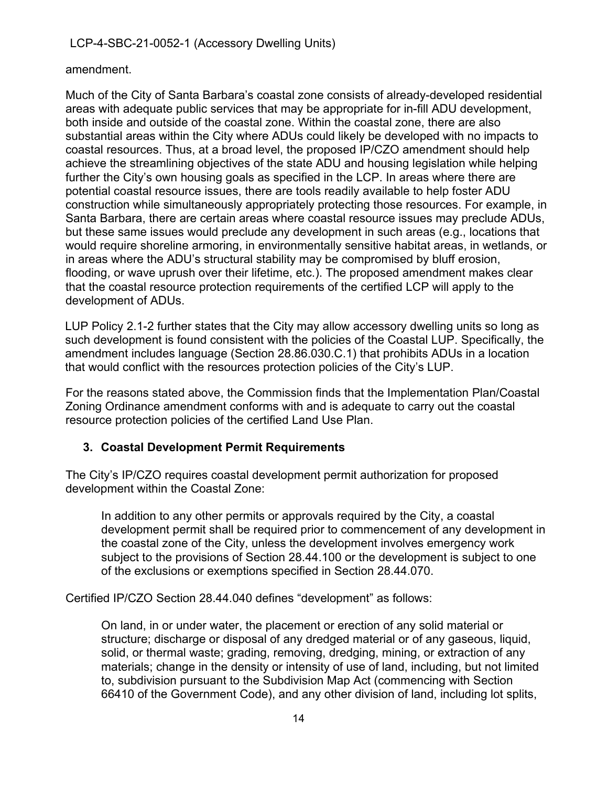#### amendment.

Much of the City of Santa Barbara's coastal zone consists of already-developed residential areas with adequate public services that may be appropriate for in-fill ADU development, both inside and outside of the coastal zone. Within the coastal zone, there are also substantial areas within the City where ADUs could likely be developed with no impacts to coastal resources. Thus, at a broad level, the proposed IP/CZO amendment should help achieve the streamlining objectives of the state ADU and housing legislation while helping further the City's own housing goals as specified in the LCP. In areas where there are potential coastal resource issues, there are tools readily available to help foster ADU construction while simultaneously appropriately protecting those resources. For example, in Santa Barbara, there are certain areas where coastal resource issues may preclude ADUs, but these same issues would preclude any development in such areas (e.g., locations that would require shoreline armoring, in environmentally sensitive habitat areas, in wetlands, or in areas where the ADU's structural stability may be compromised by bluff erosion, flooding, or wave uprush over their lifetime, etc.). The proposed amendment makes clear that the coastal resource protection requirements of the certified LCP will apply to the development of ADUs.

LUP Policy 2.1-2 further states that the City may allow accessory dwelling units so long as such development is found consistent with the policies of the Coastal LUP. Specifically, the amendment includes language (Section 28.86.030.C.1) that prohibits ADUs in a location that would conflict with the resources protection policies of the City's LUP.

For the reasons stated above, the Commission finds that the Implementation Plan/Coastal Zoning Ordinance amendment conforms with and is adequate to carry out the coastal resource protection policies of the certified Land Use Plan.

### **3. Coastal Development Permit Requirements**

The City's IP/CZO requires coastal development permit authorization for proposed development within the Coastal Zone:

In addition to any other permits or approvals required by the City, a coastal development permit shall be required prior to commencement of any development in the coastal zone of the City, unless the development involves emergency work subject to the provisions of Section 28.44.100 or the development is subject to one of the exclusions or exemptions specified in Section 28.44.070.

Certified IP/CZO Section 28.44.040 defines "development" as follows:

On land, in or under water, the placement or erection of any solid material or structure; discharge or disposal of any dredged material or of any gaseous, liquid, solid, or thermal waste; grading, removing, dredging, mining, or extraction of any materials; change in the density or intensity of use of land, including, but not limited to, subdivision pursuant to the Subdivision Map Act (commencing with Section 66410 of the Government Code), and any other division of land, including lot splits,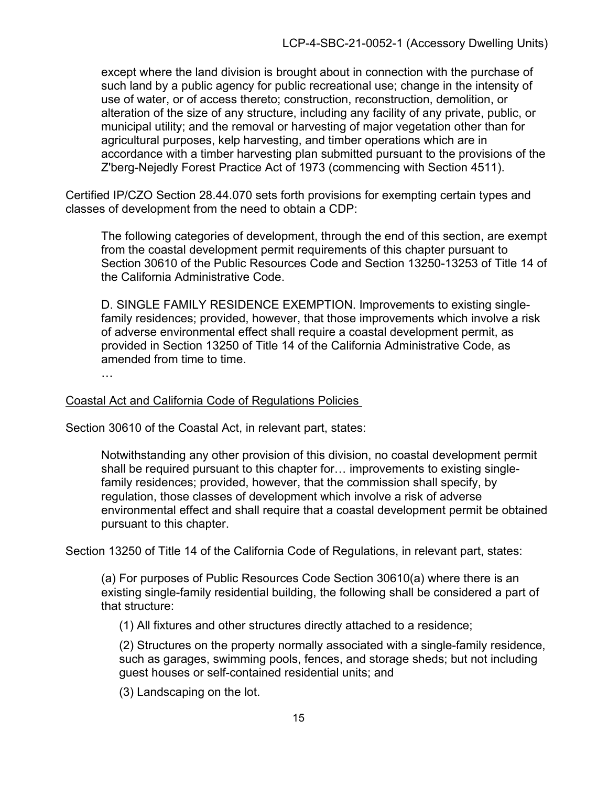except where the land division is brought about in connection with the purchase of such land by a public agency for public recreational use; change in the intensity of use of water, or of access thereto; construction, reconstruction, demolition, or alteration of the size of any structure, including any facility of any private, public, or municipal utility; and the removal or harvesting of major vegetation other than for agricultural purposes, kelp harvesting, and timber operations which are in accordance with a timber harvesting plan submitted pursuant to the provisions of the Z'berg-Nejedly Forest Practice Act of 1973 (commencing with Section 4511).

Certified IP/CZO Section 28.44.070 sets forth provisions for exempting certain types and classes of development from the need to obtain a CDP:

The following categories of development, through the end of this section, are exempt from the coastal development permit requirements of this chapter pursuant to Section 30610 of the Public Resources Code and Section 13250-13253 of Title 14 of the California Administrative Code.

D. SINGLE FAMILY RESIDENCE EXEMPTION. Improvements to existing singlefamily residences; provided, however, that those improvements which involve a risk of adverse environmental effect shall require a coastal development permit, as provided in Section 13250 of Title 14 of the California Administrative Code, as amended from time to time.

…

#### Coastal Act and California Code of Regulations Policies

Section 30610 of the Coastal Act, in relevant part, states:

Notwithstanding any other provision of this division, no coastal development permit shall be required pursuant to this chapter for… improvements to existing singlefamily residences; provided, however, that the commission shall specify, by regulation, those classes of development which involve a risk of adverse environmental effect and shall require that a coastal development permit be obtained pursuant to this chapter.

Section 13250 of Title 14 of the California Code of Regulations, in relevant part, states:

(a) For purposes of Public Resources Code Section 30610(a) where there is an existing single-family residential building, the following shall be considered a part of that structure:

(1) All fixtures and other structures directly attached to a residence;

(2) Structures on the property normally associated with a single-family residence, such as garages, swimming pools, fences, and storage sheds; but not including guest houses or self-contained residential units; and

(3) Landscaping on the lot.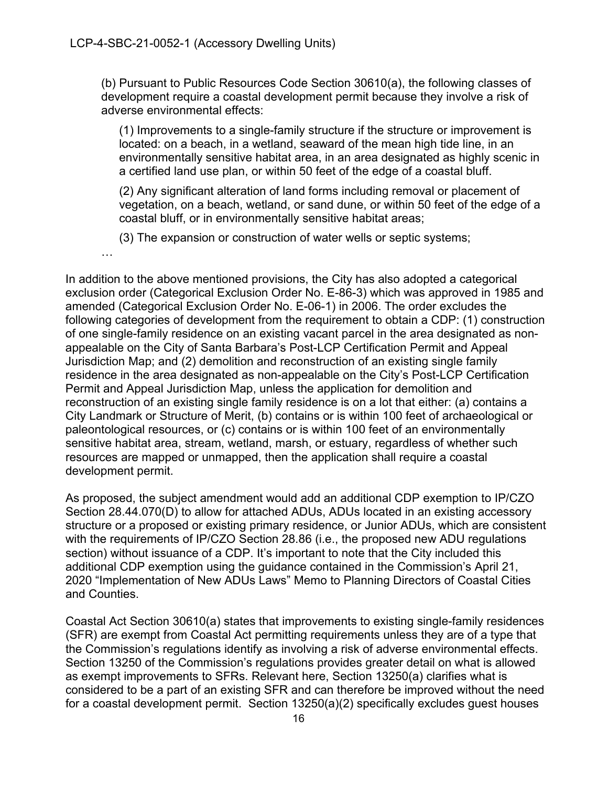(b) Pursuant to Public Resources Code Section 30610(a), the following classes of development require a coastal development permit because they involve a risk of adverse environmental effects:

(1) Improvements to a single-family structure if the structure or improvement is located: on a beach, in a wetland, seaward of the mean high tide line, in an environmentally sensitive habitat area, in an area designated as highly scenic in a certified land use plan, or within 50 feet of the edge of a coastal bluff.

(2) Any significant alteration of land forms including removal or placement of vegetation, on a beach, wetland, or sand dune, or within 50 feet of the edge of a coastal bluff, or in environmentally sensitive habitat areas;

(3) The expansion or construction of water wells or septic systems;

…

In addition to the above mentioned provisions, the City has also adopted a categorical exclusion order (Categorical Exclusion Order No. E-86-3) which was approved in 1985 and amended (Categorical Exclusion Order No. E-06-1) in 2006. The order excludes the following categories of development from the requirement to obtain a CDP: (1) construction of one single-family residence on an existing vacant parcel in the area designated as nonappealable on the City of Santa Barbara's Post-LCP Certification Permit and Appeal Jurisdiction Map; and (2) demolition and reconstruction of an existing single family residence in the area designated as non-appealable on the City's Post-LCP Certification Permit and Appeal Jurisdiction Map, unless the application for demolition and reconstruction of an existing single family residence is on a lot that either: (a) contains a City Landmark or Structure of Merit, (b) contains or is within 100 feet of archaeological or paleontological resources, or (c) contains or is within 100 feet of an environmentally sensitive habitat area, stream, wetland, marsh, or estuary, regardless of whether such resources are mapped or unmapped, then the application shall require a coastal development permit.

As proposed, the subject amendment would add an additional CDP exemption to IP/CZO Section 28.44.070(D) to allow for attached ADUs, ADUs located in an existing accessory structure or a proposed or existing primary residence, or Junior ADUs, which are consistent with the requirements of IP/CZO Section 28.86 (i.e., the proposed new ADU regulations section) without issuance of a CDP. It's important to note that the City included this additional CDP exemption using the guidance contained in the Commission's April 21, 2020 "Implementation of New ADUs Laws" Memo to Planning Directors of Coastal Cities and Counties.

Coastal Act Section 30610(a) states that improvements to existing single-family residences (SFR) are exempt from Coastal Act permitting requirements unless they are of a type that the Commission's regulations identify as involving a risk of adverse environmental effects. Section 13250 of the Commission's regulations provides greater detail on what is allowed as exempt improvements to SFRs. Relevant here, Section 13250(a) clarifies what is considered to be a part of an existing SFR and can therefore be improved without the need for a coastal development permit. Section 13250(a)(2) specifically excludes guest houses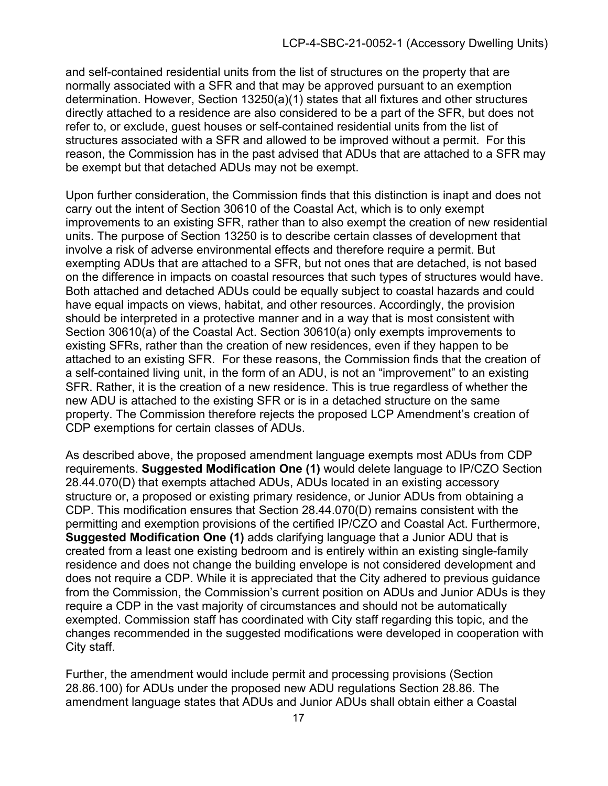and self-contained residential units from the list of structures on the property that are normally associated with a SFR and that may be approved pursuant to an exemption determination. However, Section 13250(a)(1) states that all fixtures and other structures directly attached to a residence are also considered to be a part of the SFR, but does not refer to, or exclude, guest houses or self-contained residential units from the list of structures associated with a SFR and allowed to be improved without a permit. For this reason, the Commission has in the past advised that ADUs that are attached to a SFR may be exempt but that detached ADUs may not be exempt.

Upon further consideration, the Commission finds that this distinction is inapt and does not carry out the intent of Section 30610 of the Coastal Act, which is to only exempt improvements to an existing SFR, rather than to also exempt the creation of new residential units. The purpose of Section 13250 is to describe certain classes of development that involve a risk of adverse environmental effects and therefore require a permit. But exempting ADUs that are attached to a SFR, but not ones that are detached, is not based on the difference in impacts on coastal resources that such types of structures would have. Both attached and detached ADUs could be equally subject to coastal hazards and could have equal impacts on views, habitat, and other resources. Accordingly, the provision should be interpreted in a protective manner and in a way that is most consistent with Section 30610(a) of the Coastal Act. Section 30610(a) only exempts improvements to existing SFRs, rather than the creation of new residences, even if they happen to be attached to an existing SFR. For these reasons, the Commission finds that the creation of a self-contained living unit, in the form of an ADU, is not an "improvement" to an existing SFR. Rather, it is the creation of a new residence. This is true regardless of whether the new ADU is attached to the existing SFR or is in a detached structure on the same property. The Commission therefore rejects the proposed LCP Amendment's creation of CDP exemptions for certain classes of ADUs.

As described above, the proposed amendment language exempts most ADUs from CDP requirements. **Suggested Modification One (1)** would delete language to IP/CZO Section 28.44.070(D) that exempts attached ADUs, ADUs located in an existing accessory structure or, a proposed or existing primary residence, or Junior ADUs from obtaining a CDP. This modification ensures that Section 28.44.070(D) remains consistent with the permitting and exemption provisions of the certified IP/CZO and Coastal Act. Furthermore, **Suggested Modification One (1)** adds clarifying language that a Junior ADU that is created from a least one existing bedroom and is entirely within an existing single-family residence and does not change the building envelope is not considered development and does not require a CDP. While it is appreciated that the City adhered to previous guidance from the Commission, the Commission's current position on ADUs and Junior ADUs is they require a CDP in the vast majority of circumstances and should not be automatically exempted. Commission staff has coordinated with City staff regarding this topic, and the changes recommended in the suggested modifications were developed in cooperation with City staff.

Further, the amendment would include permit and processing provisions (Section 28.86.100) for ADUs under the proposed new ADU regulations Section 28.86. The amendment language states that ADUs and Junior ADUs shall obtain either a Coastal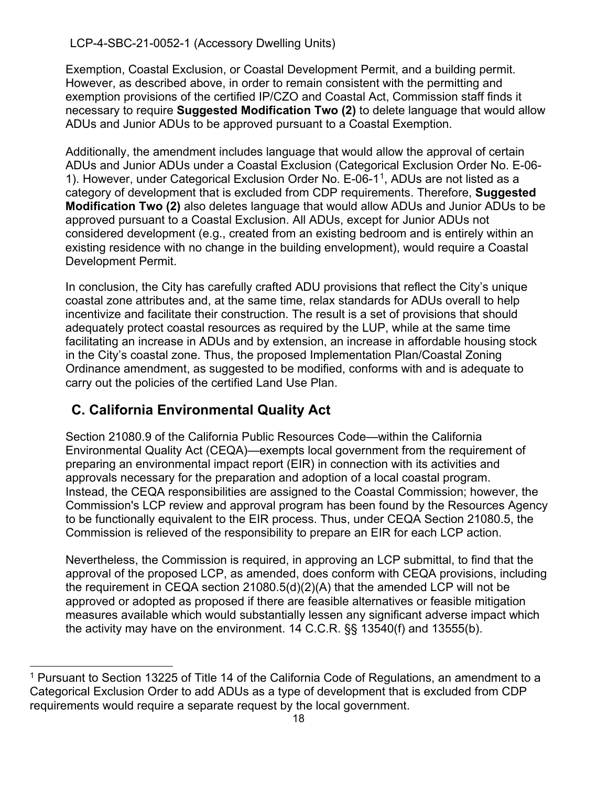Exemption, Coastal Exclusion, or Coastal Development Permit, and a building permit. However, as described above, in order to remain consistent with the permitting and exemption provisions of the certified IP/CZO and Coastal Act, Commission staff finds it necessary to require **Suggested Modification Two (2)** to delete language that would allow ADUs and Junior ADUs to be approved pursuant to a Coastal Exemption.

Additionally, the amendment includes language that would allow the approval of certain ADUs and Junior ADUs under a Coastal Exclusion (Categorical Exclusion Order No. E-06- 1). However, under Categorical Exclusion Order No. E-06-1[1](#page-17-1), ADUs are not listed as a category of development that is excluded from CDP requirements. Therefore, **Suggested Modification Two (2)** also deletes language that would allow ADUs and Junior ADUs to be approved pursuant to a Coastal Exclusion. All ADUs, except for Junior ADUs not considered development (e.g., created from an existing bedroom and is entirely within an existing residence with no change in the building envelopment), would require a Coastal Development Permit.

In conclusion, the City has carefully crafted ADU provisions that reflect the City's unique coastal zone attributes and, at the same time, relax standards for ADUs overall to help incentivize and facilitate their construction. The result is a set of provisions that should adequately protect coastal resources as required by the LUP, while at the same time facilitating an increase in ADUs and by extension, an increase in affordable housing stock in the City's coastal zone. Thus, the proposed Implementation Plan/Coastal Zoning Ordinance amendment, as suggested to be modified, conforms with and is adequate to carry out the policies of the certified Land Use Plan.

## <span id="page-17-0"></span>**C. California Environmental Quality Act**

Section 21080.9 of the California Public Resources Code—within the California Environmental Quality Act (CEQA)—exempts local government from the requirement of preparing an environmental impact report (EIR) in connection with its activities and approvals necessary for the preparation and adoption of a local coastal program. Instead, the CEQA responsibilities are assigned to the Coastal Commission; however, the Commission's LCP review and approval program has been found by the Resources Agency to be functionally equivalent to the EIR process. Thus, under CEQA Section 21080.5, the Commission is relieved of the responsibility to prepare an EIR for each LCP action.

Nevertheless, the Commission is required, in approving an LCP submittal, to find that the approval of the proposed LCP, as amended, does conform with CEQA provisions, including the requirement in CEQA section 21080.5(d)(2)(A) that the amended LCP will not be approved or adopted as proposed if there are feasible alternatives or feasible mitigation measures available which would substantially lessen any significant adverse impact which the activity may have on the environment. 14 C.C.R. §§ 13540(f) and 13555(b).

<span id="page-17-1"></span><sup>&</sup>lt;sup>1</sup> Pursuant to Section 13225 of Title 14 of the California Code of Regulations, an amendment to a Categorical Exclusion Order to add ADUs as a type of development that is excluded from CDP requirements would require a separate request by the local government.